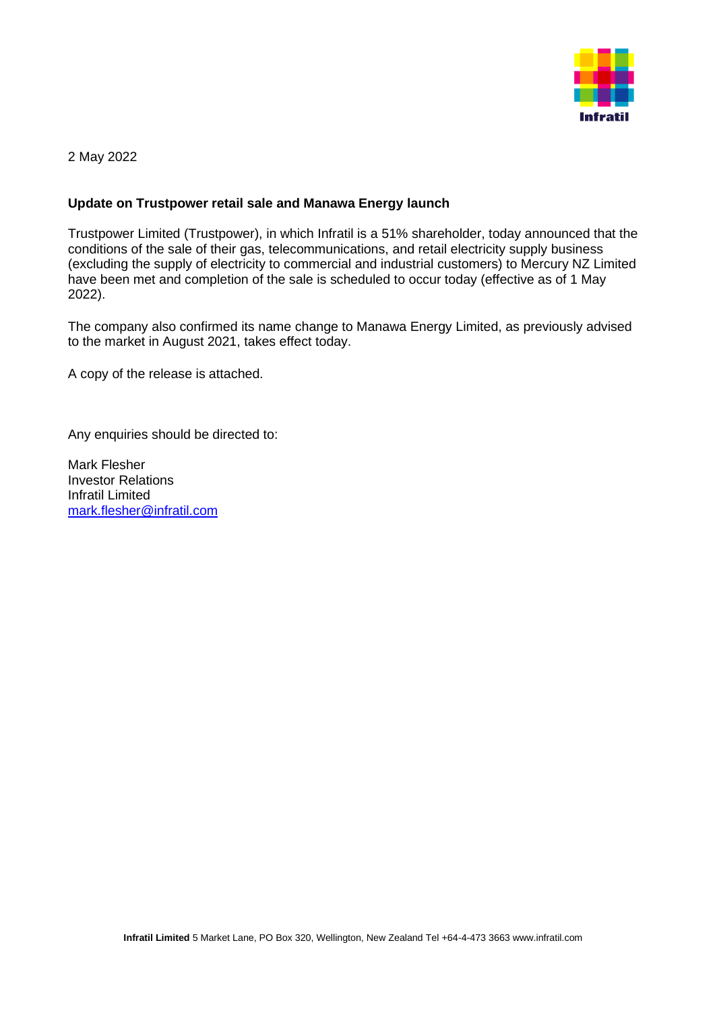

2 May 2022

## **Update on Trustpower retail sale and Manawa Energy launch**

Trustpower Limited (Trustpower), in which Infratil is a 51% shareholder, today announced that the conditions of the sale of their gas, telecommunications, and retail electricity supply business (excluding the supply of electricity to commercial and industrial customers) to Mercury NZ Limited have been met and completion of the sale is scheduled to occur today (effective as of 1 May 2022).

The company also confirmed its name change to Manawa Energy Limited, as previously advised to the market in August 2021, takes effect today.

A copy of the release is attached.

Any enquiries should be directed to:

Mark Flesher Investor Relations Infratil Limited [mark.flesher@infratil.com](mailto:mark.flesher@infratil.com)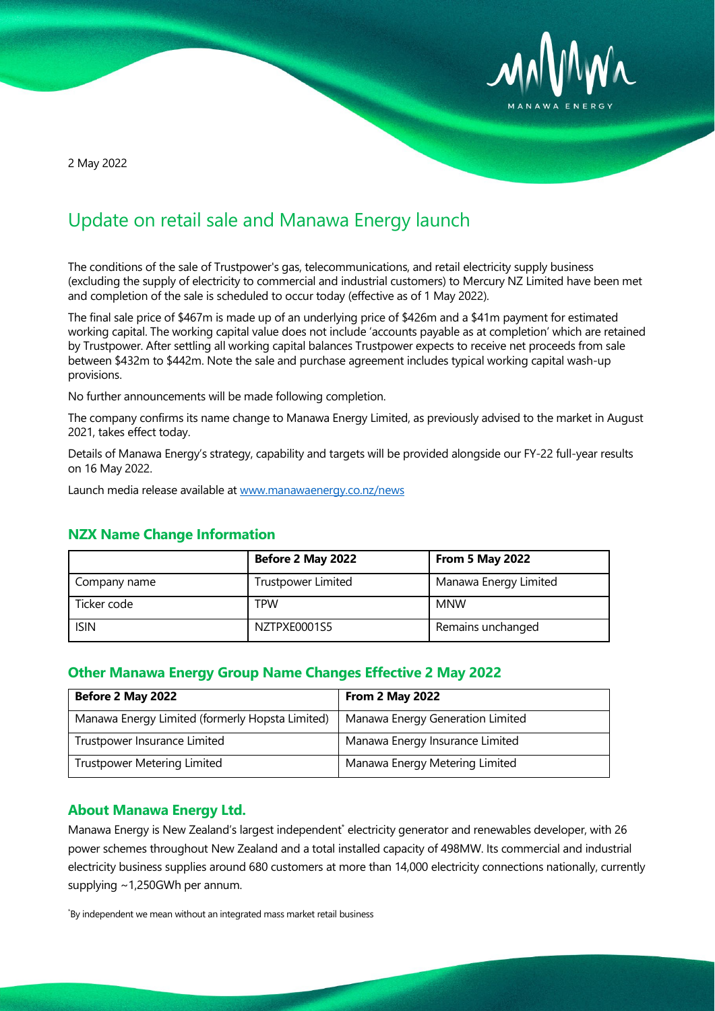

2 May 2022

# Update on retail sale and Manawa Energy launch

The conditions of the sale of Trustpower's gas, telecommunications, and retail electricity supply business (excluding the supply of electricity to commercial and industrial customers) to Mercury NZ Limited have been met and completion of the sale is scheduled to occur today (effective as of 1 May 2022).

The final sale price of \$467m is made up of an underlying price of \$426m and a \$41m payment for estimated working capital. The working capital value does not include 'accounts payable as at completion' which are retained by Trustpower. After settling all working capital balances Trustpower expects to receive net proceeds from sale between \$432m to \$442m. Note the sale and purchase agreement includes typical working capital wash-up provisions.

No further announcements will be made following completion.

The company confirms its name change to Manawa Energy Limited, as previously advised to the market in August 2021, takes effect today.

Details of Manawa Energy's strategy, capability and targets will be provided alongside our FY-22 full-year results on 16 May 2022.

Launch media release available at [www.manawaenergy.co.nz/news](http://www.manawaenergy.co.nz/news)

|              | Before 2 May 2022         | <b>From 5 May 2022</b> |
|--------------|---------------------------|------------------------|
| Company name | <b>Trustpower Limited</b> | Manawa Energy Limited  |
| Ticker code  | TPW                       | <b>MNW</b>             |
| <b>ISIN</b>  | NZTPXE0001S5              | Remains unchanged      |

## **NZX Name Change Information**

## **Other Manawa Energy Group Name Changes Effective 2 May 2022**

| Before 2 May 2022                               | <b>From 2 May 2022</b>           |
|-------------------------------------------------|----------------------------------|
| Manawa Energy Limited (formerly Hopsta Limited) | Manawa Energy Generation Limited |
| Trustpower Insurance Limited                    | Manawa Energy Insurance Limited  |
| <b>Trustpower Metering Limited</b>              | Manawa Energy Metering Limited   |

### **About Manawa Energy Ltd.**

Manawa Energy is New Zealand's largest independent\* electricity generator and renewables developer, with 26 power schemes throughout New Zealand and a total installed capacity of 498MW. Its commercial and industrial electricity business supplies around 680 customers at more than 14,000 electricity connections nationally, currently supplying ~1,250GWh per annum.

\* By independent we mean without an integrated mass market retail business